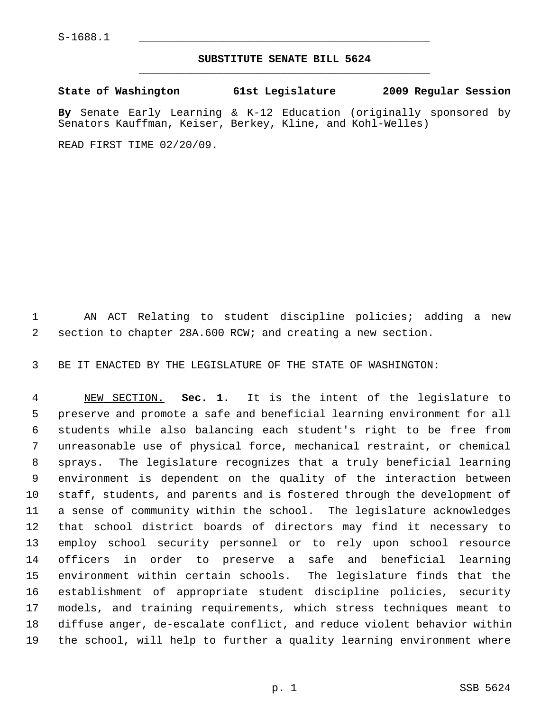## **SUBSTITUTE SENATE BILL 5624** \_\_\_\_\_\_\_\_\_\_\_\_\_\_\_\_\_\_\_\_\_\_\_\_\_\_\_\_\_\_\_\_\_\_\_\_\_\_\_\_\_\_\_\_\_

**State of Washington 61st Legislature 2009 Regular Session By** Senate Early Learning & K-12 Education (originally sponsored by Senators Kauffman, Keiser, Berkey, Kline, and Kohl-Welles)

READ FIRST TIME 02/20/09.

 1 AN ACT Relating to student discipline policies; adding a new 2 section to chapter 28A.600 RCW; and creating a new section.

3 BE IT ENACTED BY THE LEGISLATURE OF THE STATE OF WASHINGTON:

 4 NEW SECTION. **Sec. 1.** It is the intent of the legislature to 5 preserve and promote a safe and beneficial learning environment for all 6 students while also balancing each student's right to be free from 7 unreasonable use of physical force, mechanical restraint, or chemical 8 sprays. The legislature recognizes that a truly beneficial learning 9 environment is dependent on the quality of the interaction between 10 staff, students, and parents and is fostered through the development of 11 a sense of community within the school. The legislature acknowledges 12 that school district boards of directors may find it necessary to 13 employ school security personnel or to rely upon school resource 14 officers in order to preserve a safe and beneficial learning 15 environment within certain schools. The legislature finds that the 16 establishment of appropriate student discipline policies, security 17 models, and training requirements, which stress techniques meant to 18 diffuse anger, de-escalate conflict, and reduce violent behavior within 19 the school, will help to further a quality learning environment where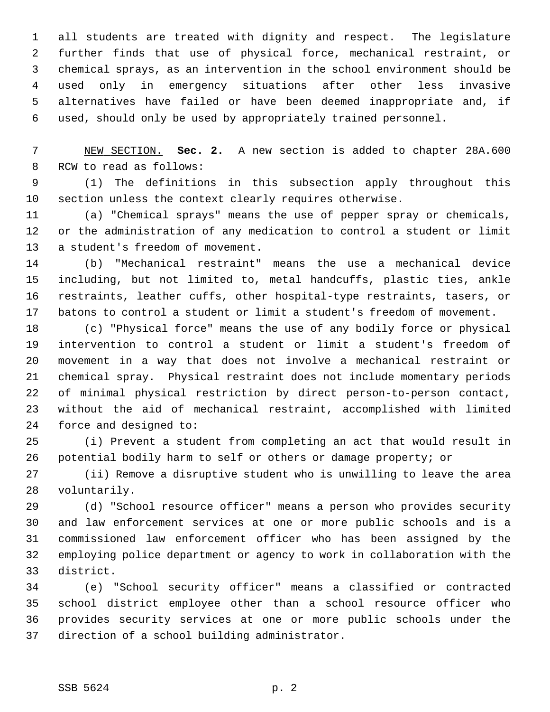1 all students are treated with dignity and respect. The legislature 2 further finds that use of physical force, mechanical restraint, or 3 chemical sprays, as an intervention in the school environment should be 4 used only in emergency situations after other less invasive 5 alternatives have failed or have been deemed inappropriate and, if 6 used, should only be used by appropriately trained personnel.

 7 NEW SECTION. **Sec. 2.** A new section is added to chapter 28A.600 8 RCW to read as follows:

 9 (1) The definitions in this subsection apply throughout this 10 section unless the context clearly requires otherwise.

11 (a) "Chemical sprays" means the use of pepper spray or chemicals, 12 or the administration of any medication to control a student or limit 13 a student's freedom of movement.

14 (b) "Mechanical restraint" means the use a mechanical device 15 including, but not limited to, metal handcuffs, plastic ties, ankle 16 restraints, leather cuffs, other hospital-type restraints, tasers, or 17 batons to control a student or limit a student's freedom of movement.

18 (c) "Physical force" means the use of any bodily force or physical 19 intervention to control a student or limit a student's freedom of 20 movement in a way that does not involve a mechanical restraint or 21 chemical spray. Physical restraint does not include momentary periods 22 of minimal physical restriction by direct person-to-person contact, 23 without the aid of mechanical restraint, accomplished with limited 24 force and designed to:

25 (i) Prevent a student from completing an act that would result in 26 potential bodily harm to self or others or damage property; or

27 (ii) Remove a disruptive student who is unwilling to leave the area 28 voluntarily.

29 (d) "School resource officer" means a person who provides security 30 and law enforcement services at one or more public schools and is a 31 commissioned law enforcement officer who has been assigned by the 32 employing police department or agency to work in collaboration with the 33 district.

34 (e) "School security officer" means a classified or contracted 35 school district employee other than a school resource officer who 36 provides security services at one or more public schools under the 37 direction of a school building administrator.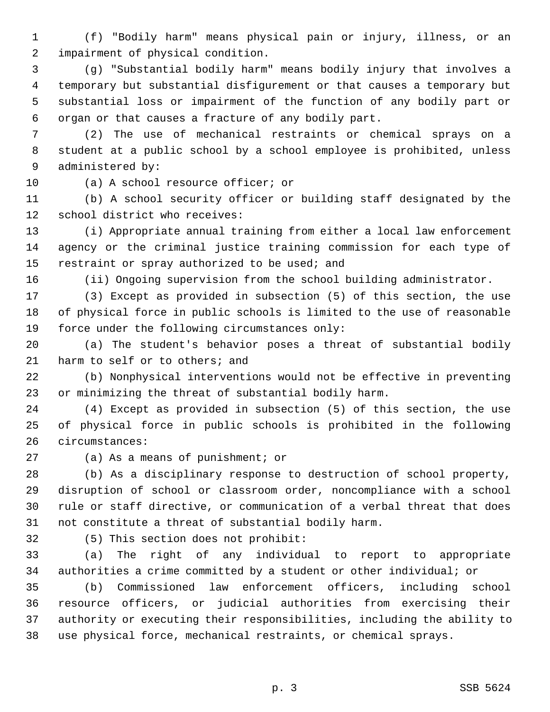1 (f) "Bodily harm" means physical pain or injury, illness, or an 2 impairment of physical condition.

 3 (g) "Substantial bodily harm" means bodily injury that involves a 4 temporary but substantial disfigurement or that causes a temporary but 5 substantial loss or impairment of the function of any bodily part or 6 organ or that causes a fracture of any bodily part.

 7 (2) The use of mechanical restraints or chemical sprays on a 8 student at a public school by a school employee is prohibited, unless 9 administered by:

10 (a) A school resource officer; or

11 (b) A school security officer or building staff designated by the 12 school district who receives:

13 (i) Appropriate annual training from either a local law enforcement 14 agency or the criminal justice training commission for each type of 15 restraint or spray authorized to be used; and

16 (ii) Ongoing supervision from the school building administrator.

17 (3) Except as provided in subsection (5) of this section, the use 18 of physical force in public schools is limited to the use of reasonable 19 force under the following circumstances only:

20 (a) The student's behavior poses a threat of substantial bodily 21 harm to self or to others; and

22 (b) Nonphysical interventions would not be effective in preventing 23 or minimizing the threat of substantial bodily harm.

24 (4) Except as provided in subsection (5) of this section, the use 25 of physical force in public schools is prohibited in the following 26 circumstances:

27 (a) As a means of punishment; or

28 (b) As a disciplinary response to destruction of school property, 29 disruption of school or classroom order, noncompliance with a school 30 rule or staff directive, or communication of a verbal threat that does 31 not constitute a threat of substantial bodily harm.

32 (5) This section does not prohibit:

33 (a) The right of any individual to report to appropriate 34 authorities a crime committed by a student or other individual; or

35 (b) Commissioned law enforcement officers, including school 36 resource officers, or judicial authorities from exercising their 37 authority or executing their responsibilities, including the ability to 38 use physical force, mechanical restraints, or chemical sprays.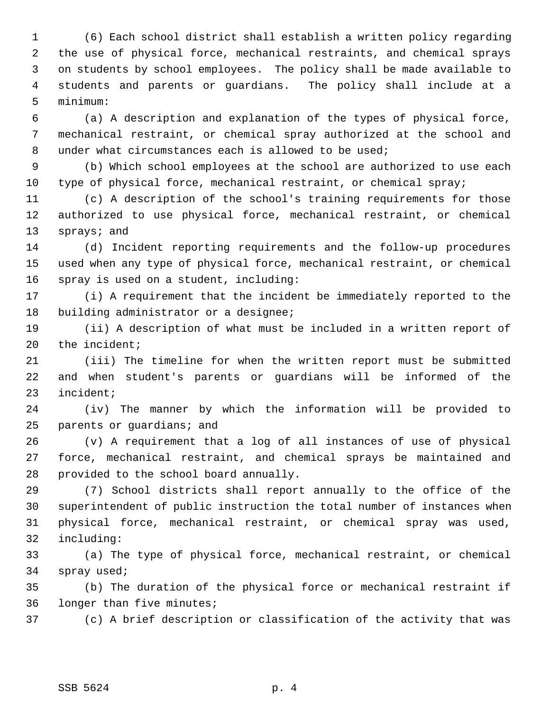1 (6) Each school district shall establish a written policy regarding 2 the use of physical force, mechanical restraints, and chemical sprays 3 on students by school employees. The policy shall be made available to 4 students and parents or guardians. The policy shall include at a 5 minimum:

 6 (a) A description and explanation of the types of physical force, 7 mechanical restraint, or chemical spray authorized at the school and 8 under what circumstances each is allowed to be used;

 9 (b) Which school employees at the school are authorized to use each 10 type of physical force, mechanical restraint, or chemical spray;

11 (c) A description of the school's training requirements for those 12 authorized to use physical force, mechanical restraint, or chemical 13 sprays; and

14 (d) Incident reporting requirements and the follow-up procedures 15 used when any type of physical force, mechanical restraint, or chemical 16 spray is used on a student, including:

17 (i) A requirement that the incident be immediately reported to the 18 building administrator or a designee;

19 (ii) A description of what must be included in a written report of 20 the incident;

21 (iii) The timeline for when the written report must be submitted 22 and when student's parents or guardians will be informed of the 23 incident;

24 (iv) The manner by which the information will be provided to 25 parents or guardians; and

26 (v) A requirement that a log of all instances of use of physical 27 force, mechanical restraint, and chemical sprays be maintained and 28 provided to the school board annually.

29 (7) School districts shall report annually to the office of the 30 superintendent of public instruction the total number of instances when 31 physical force, mechanical restraint, or chemical spray was used, 32 including:

33 (a) The type of physical force, mechanical restraint, or chemical 34 spray used;

35 (b) The duration of the physical force or mechanical restraint if 36 longer than five minutes;

37 (c) A brief description or classification of the activity that was